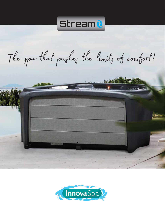

The spa that pushes the limits of comfort!



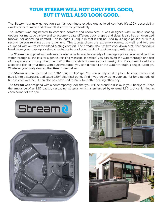## YOUR STREAM WILL NOT ONLY FEEL GOOD. BUT IT WILL ALSO LOOK GOOD.

The **Stream** is a new generation spa. It's roominess exudes unparalleled comfort. It's 100% accessibility exudes piece of mind and above all, it's extremely affordably.

The *Stream* was engineered to combine comfort and roominess. It was designed with multiple seating options for massage variety and to accommodate different body shapes and sizes. It also has an oversized footwell for added leg comfort. The lounger is unique in that it can be used by a single person or with a second person relaxing at the other end. The lounge chairs are extremely roomy, as well, and two are equipped with armrests for added seating comfort. The *Stream* also has two cool down seats that provide a break from your massage or simply, a chance to cool down a bit without having to exit the spa.

The *Stream* is equipped with a 4-way diverter valve to enable a variety of massage options. You can direct the water through all the jets for a gentle, relaxing massage. If desired, you can divert the water through one half of the spa jets or through the other half of the spa jets to increase your intensity. And if you need to address a specific part of your body with dynamic force, you can direct all of the water through a single, turbo jet. Whatever your body desires, the *Stream* can deliver.

The **Stream** is manufactured as a 120V "Plug & Play" spa. You can simply set it in place, fill it with water and plug it into a standard, dedicated 120V electrical outlet. And if you enjoy using your spa for long periods of time in cold weather, It can also be converted to 240V for better heating efficiency.

The *Stream* was designed with a contemporary look that you will be proud to display in your backyard. It has the ambiance of an LED backlit, cascading waterfall which is enhanced by external LED sconce lighting in each corner of the spa.







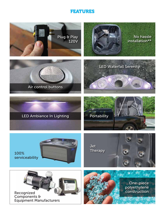## FEATURES